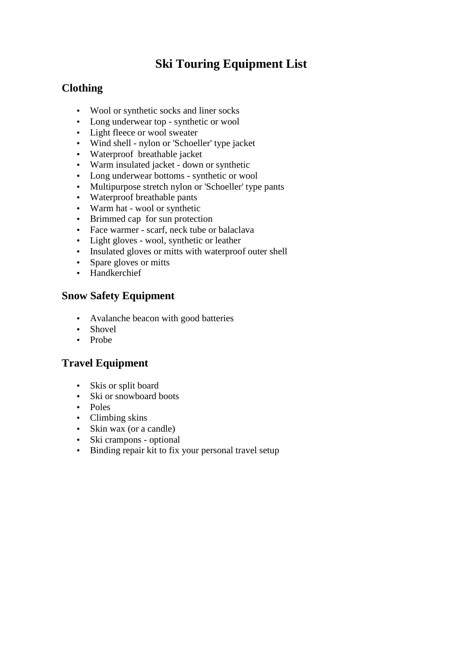# **Ski Touring Equipment List**

## **Clothing**

- Wool or synthetic socks and liner socks
- Long underwear top synthetic or wool
- Light fleece or wool sweater
- Wind shell nylon or 'Schoeller' type jacket
- Waterproof breathable jacket
- Warm insulated jacket down or synthetic
- Long underwear bottoms synthetic or wool
- Multipurpose stretch nylon or 'Schoeller' type pants
- Waterproof breathable pants
- Warm hat wool or synthetic
- Brimmed cap for sun protection
- Face warmer scarf, neck tube or balaclava
- Light gloves wool, synthetic or leather
- Insulated gloves or mitts with waterproof outer shell
- Spare gloves or mitts
- Handkerchief

#### **Snow Safety Equipment**

- Avalanche beacon with good batteries
- Shovel
- Probe

### **Travel Equipment**

- Skis or split board
- Ski or snowboard boots
- Poles
- Climbing skins
- Skin wax (or a candle)
- Ski crampons optional
- Binding repair kit to fix your personal travel setup